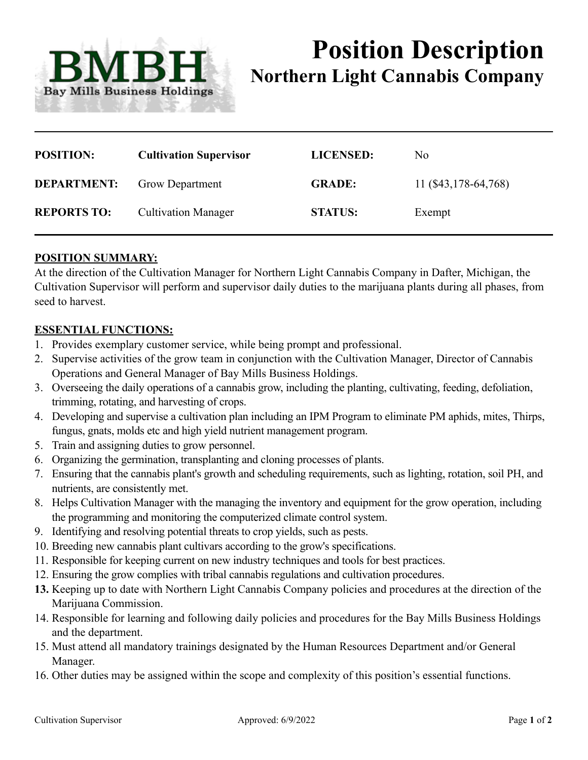

# **Position Description Northern Light Cannabis Company**

| <b>POSITION:</b>   | <b>Cultivation Supervisor</b> | <b>LICENSED:</b> | N <sub>0</sub>       |
|--------------------|-------------------------------|------------------|----------------------|
| <b>DEPARTMENT:</b> | <b>Grow Department</b>        | <b>GRADE:</b>    | 11 (\$43,178-64,768) |
| <b>REPORTS TO:</b> | <b>Cultivation Manager</b>    | <b>STATUS:</b>   | Exempt               |

## **POSITION SUMMARY:**

At the direction of the Cultivation Manager for Northern Light Cannabis Company in Dafter, Michigan, the Cultivation Supervisor will perform and supervisor daily duties to the marijuana plants during all phases, from seed to harvest.

#### **ESSENTIAL FUNCTIONS:**

- 1. Provides exemplary customer service, while being prompt and professional.
- 2. Supervise activities of the grow team in conjunction with the Cultivation Manager, Director of Cannabis Operations and General Manager of Bay Mills Business Holdings.
- 3. Overseeing the daily operations of a cannabis grow, including the planting, cultivating, feeding, defoliation, trimming, rotating, and harvesting of crops.
- 4. Developing and supervise a cultivation plan including an IPM Program to eliminate PM aphids, mites, Thirps, fungus, gnats, molds etc and high yield nutrient management program.
- 5. Train and assigning duties to grow personnel.
- 6. Organizing the germination, transplanting and cloning processes of plants.
- 7. Ensuring that the cannabis plant's growth and scheduling requirements, such as lighting, rotation, soil PH, and nutrients, are consistently met.
- 8. Helps Cultivation Manager with the managing the inventory and equipment for the grow operation, including the programming and monitoring the computerized climate control system.
- 9. Identifying and resolving potential threats to crop yields, such as pests.
- 10. Breeding new cannabis plant cultivars according to the grow's specifications.
- 11. Responsible for keeping current on new industry techniques and tools for best practices.
- 12. Ensuring the grow complies with tribal cannabis regulations and cultivation procedures.
- **13.** Keeping up to date with Northern Light Cannabis Company policies and procedures at the direction of the Marijuana Commission.
- 14. Responsible for learning and following daily policies and procedures for the Bay Mills Business Holdings and the department.
- 15. Must attend all mandatory trainings designated by the Human Resources Department and/or General Manager.
- 16. Other duties may be assigned within the scope and complexity of this position's essential functions.